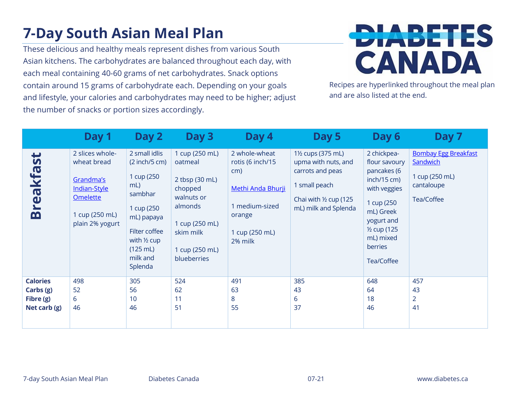## **7-Day South Asian Meal Plan**

These delicious and healthy meals represent dishes from various South Asian kitchens. The carbohydrates are balanced throughout each day, with each meal containing 40-60 grams of net carbohydrates. Snack options contain around 15 grams of carbohydrate each. Depending on your goals and lifestyle, your calories and carbohydrates may need to be higher; adjust the number of snacks or portion sizes accordingly.



Recipes are hyperlinked throughout the meal plan and are also listed at the end.

|                                                           | Day 1                                                                                                               | Day 2                                                                                                                                                                     | Day 3                                                                                                                                           | Day 4                                                                                                                  | Day 5                                                                                                                                                     | Day 6                                                                                                                                                                                 | Day 7                                                                                 |
|-----------------------------------------------------------|---------------------------------------------------------------------------------------------------------------------|---------------------------------------------------------------------------------------------------------------------------------------------------------------------------|-------------------------------------------------------------------------------------------------------------------------------------------------|------------------------------------------------------------------------------------------------------------------------|-----------------------------------------------------------------------------------------------------------------------------------------------------------|---------------------------------------------------------------------------------------------------------------------------------------------------------------------------------------|---------------------------------------------------------------------------------------|
| $\mathbf{v}$<br><b>Breakfa</b>                            | 2 slices whole-<br>wheat bread<br>Grandma's<br>Indian-Style<br><b>Omelette</b><br>1 cup (250 mL)<br>plain 2% yogurt | 2 small idlis<br>$(2$ inch/5 cm)<br>1 cup (250<br>mL<br>sambhar<br>1 cup (250<br>mL) papaya<br>Filter coffee<br>with $\frac{1}{2}$ cup<br>(125 mL)<br>milk and<br>Splenda | 1 cup (250 mL)<br>oatmeal<br>2 tbsp (30 mL)<br>chopped<br>walnuts or<br>almonds<br>1 cup (250 mL)<br>skim milk<br>1 cup (250 mL)<br>blueberries | 2 whole-wheat<br>rotis (6 inch/15<br>cm)<br>Methi Anda Bhurji<br>1 medium-sized<br>orange<br>1 cup (250 mL)<br>2% milk | 1 <sup>1</sup> / <sub>2</sub> cups (375 mL)<br>upma with nuts, and<br>carrots and peas<br>1 small peach<br>Chai with 1/2 cup (125<br>mL) milk and Splenda | 2 chickpea-<br>flour savoury<br>pancakes (6<br>inch/15 cm)<br>with veggies<br>1 cup (250<br>mL) Greek<br>yogurt and<br>1/ <sub>2</sub> cup (125<br>mL) mixed<br>berries<br>Tea/Coffee | <b>Bombay Egg Breakfast</b><br>Sandwich<br>1 cup (250 mL)<br>cantaloupe<br>Tea/Coffee |
| <b>Calories</b><br>Carbs (g)<br>Fibre (g)<br>Net carb (g) | 498<br>52<br>6<br>46                                                                                                | 305<br>56<br>10<br>46                                                                                                                                                     | 524<br>62<br>11<br>51                                                                                                                           | 491<br>63<br>8<br>55                                                                                                   | 385<br>43<br>6<br>37                                                                                                                                      | 648<br>64<br>18<br>46                                                                                                                                                                 | 457<br>43<br>2<br>41                                                                  |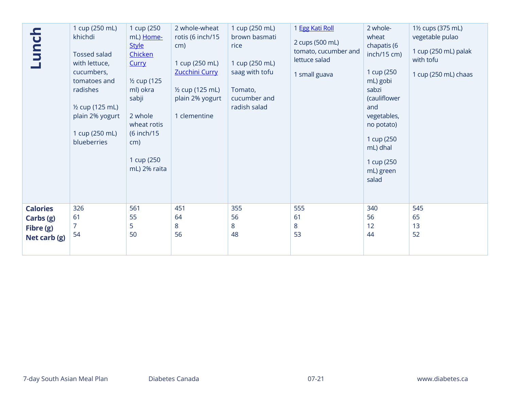| Lunch                                          | 1 cup (250 mL)<br>khichdi<br><b>Tossed salad</b><br>with lettuce,<br>cucumbers,<br>tomatoes and<br>radishes<br>1/2 cup (125 mL)<br>plain 2% yogurt<br>1 cup (250 mL)<br>blueberries | 1 cup (250<br>mL) Home-<br><b>Style</b><br>Chicken<br>Curry<br>1/ <sub>2</sub> cup (125<br>ml) okra<br>sabji<br>2 whole<br>wheat rotis<br>(6 inch/15<br>cm)<br>1 cup (250<br>mL) 2% raita | 2 whole-wheat<br>rotis (6 inch/15<br>cm)<br>1 cup (250 mL)<br>Zucchini Curry<br>1/2 cup (125 mL)<br>plain 2% yogurt<br>1 clementine | 1 cup (250 mL)<br>brown basmati<br>rice<br>1 cup (250 mL)<br>saag with tofu<br>Tomato,<br>cucumber and<br>radish salad | 1 Egg Kati Roll<br>2 cups (500 mL)<br>tomato, cucumber and<br>lettuce salad<br>1 small guava | 2 whole-<br>wheat<br>chapatis (6<br>inch/15 cm)<br>1 cup (250<br>mL) gobi<br>sabzi<br>(cauliflower<br>and<br>vegetables,<br>no potato)<br>1 cup (250<br>mL) dhal<br>1 cup (250<br>mL) green<br>salad | 1½ cups (375 mL)<br>vegetable pulao<br>1 cup (250 mL) palak<br>with tofu<br>1 cup (250 mL) chaas |
|------------------------------------------------|-------------------------------------------------------------------------------------------------------------------------------------------------------------------------------------|-------------------------------------------------------------------------------------------------------------------------------------------------------------------------------------------|-------------------------------------------------------------------------------------------------------------------------------------|------------------------------------------------------------------------------------------------------------------------|----------------------------------------------------------------------------------------------|------------------------------------------------------------------------------------------------------------------------------------------------------------------------------------------------------|--------------------------------------------------------------------------------------------------|
| <b>Calories</b>                                | 326                                                                                                                                                                                 | 561                                                                                                                                                                                       | 451                                                                                                                                 | 355                                                                                                                    | 555                                                                                          | 340                                                                                                                                                                                                  | 545                                                                                              |
| Carbs (g)                                      | 61                                                                                                                                                                                  | 55                                                                                                                                                                                        | 64                                                                                                                                  | 56                                                                                                                     | 61                                                                                           | 56                                                                                                                                                                                                   | 65                                                                                               |
| Fibre (g)                                      | $\overline{7}$                                                                                                                                                                      | 5                                                                                                                                                                                         | 8                                                                                                                                   | 8                                                                                                                      | 8                                                                                            | 12                                                                                                                                                                                                   | 13                                                                                               |
| Net carb (g)                                   | 54                                                                                                                                                                                  | 50                                                                                                                                                                                        | 56                                                                                                                                  | 48                                                                                                                     | 53                                                                                           | 44                                                                                                                                                                                                   | 52                                                                                               |
|                                                |                                                                                                                                                                                     |                                                                                                                                                                                           |                                                                                                                                     |                                                                                                                        |                                                                                              |                                                                                                                                                                                                      |                                                                                                  |
| 7-day South Asian Meal Plan<br>Diabetes Canada |                                                                                                                                                                                     |                                                                                                                                                                                           |                                                                                                                                     | $07 - 21$                                                                                                              |                                                                                              | www.diabetes.ca                                                                                                                                                                                      |                                                                                                  |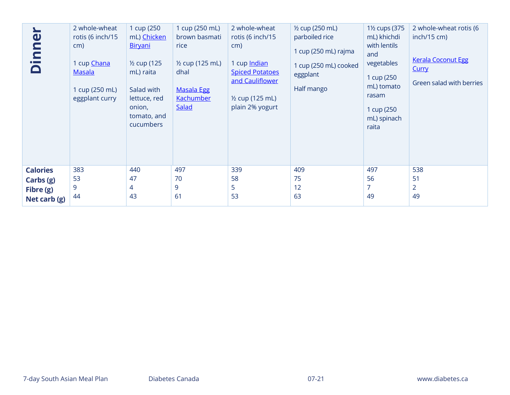| $\mathbf 0$<br>$\mathbf{a}$<br>$\blacksquare$ | 2 whole-wheat<br>rotis (6 inch/15<br>cm)<br>1 cup Chana<br><b>Masala</b><br>1 cup (250 mL)<br>eggplant curry | 1 cup (250<br>mL) Chicken<br>Biryani<br>$\frac{1}{2}$ cup (125<br>mL) raita<br>Salad with<br>lettuce, red<br>onion,<br>tomato, and<br>cucumbers | 1 cup (250 mL)<br>brown basmati<br>rice<br>1/2 cup (125 mL)<br>dhal<br><b>Masala Egg</b><br><b>Kachumber</b><br>Salad | 2 whole-wheat<br>rotis (6 inch/15<br>cm)<br>1 cup Indian<br><b>Spiced Potatoes</b><br>and Cauliflower<br>1/ <sub>2</sub> cup (125 mL)<br>plain 2% yogurt | 1/2 cup (250 mL)<br>parboiled rice<br>1 cup (250 mL) rajma<br>1 cup (250 mL) cooked<br>eggplant<br>Half mango | 1 <sup>1</sup> / <sub>2</sub> cups (375<br>mL) khichdi<br>with lentils<br>and<br>vegetables<br>1 cup (250<br>mL) tomato<br>rasam<br>1 cup (250<br>mL) spinach<br>raita | 2 whole-wheat rotis (6<br>inch/15 cm)<br><b>Kerala Coconut Egg</b><br><b>Curry</b><br>Green salad with berries |
|-----------------------------------------------|--------------------------------------------------------------------------------------------------------------|-------------------------------------------------------------------------------------------------------------------------------------------------|-----------------------------------------------------------------------------------------------------------------------|----------------------------------------------------------------------------------------------------------------------------------------------------------|---------------------------------------------------------------------------------------------------------------|------------------------------------------------------------------------------------------------------------------------------------------------------------------------|----------------------------------------------------------------------------------------------------------------|
| <b>Calories</b>                               | 383                                                                                                          | 440                                                                                                                                             | 497                                                                                                                   | 339                                                                                                                                                      | 409                                                                                                           | 497                                                                                                                                                                    | 538                                                                                                            |
| Carbs (g)                                     | 53                                                                                                           | 47                                                                                                                                              | 70                                                                                                                    | 58                                                                                                                                                       | 75                                                                                                            | 56                                                                                                                                                                     | 51                                                                                                             |
| Fibre (g)                                     | 9                                                                                                            | 4                                                                                                                                               | 9                                                                                                                     | 5                                                                                                                                                        | 12                                                                                                            | 7                                                                                                                                                                      | $\overline{2}$                                                                                                 |
| Net carb (g)                                  | 44                                                                                                           | 43                                                                                                                                              | 61                                                                                                                    | 53                                                                                                                                                       | 63                                                                                                            | 49                                                                                                                                                                     | 49                                                                                                             |